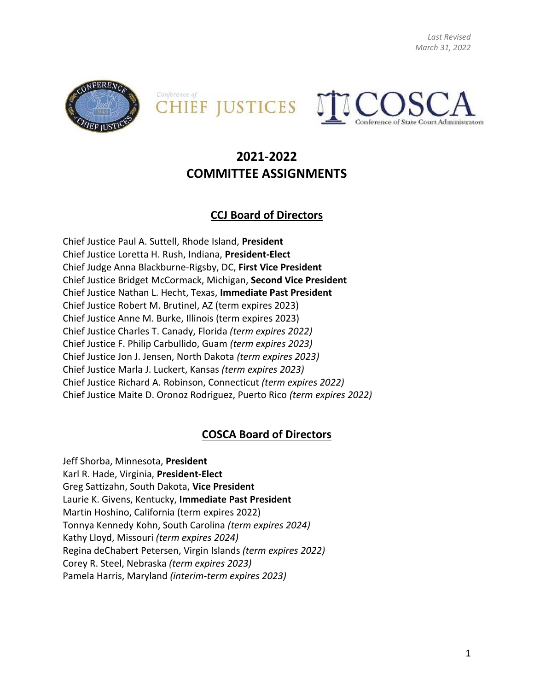*Last Revised March 31, 2022*







# **2021-2022 COMMITTEE ASSIGNMENTS**

### **CCJ Board of Directors**

Chief Justice Paul A. Suttell, Rhode Island, **President** Chief Justice Loretta H. Rush, Indiana, **President-Elect** Chief Judge Anna Blackburne-Rigsby, DC, **First Vice President** Chief Justice Bridget McCormack, Michigan, **Second Vice President** Chief Justice Nathan L. Hecht, Texas, **Immediate Past President** Chief Justice Robert M. Brutinel, AZ (term expires 2023) Chief Justice Anne M. Burke, Illinois (term expires 2023) Chief Justice Charles T. Canady, Florida *(term expires 2022)* Chief Justice F. Philip Carbullido, Guam *(term expires 2023)* Chief Justice Jon J. Jensen, North Dakota *(term expires 2023)* Chief Justice Marla J. Luckert, Kansas *(term expires 2023)* Chief Justice Richard A. Robinson, Connecticut *(term expires 2022)*  Chief Justice Maite D. Oronoz Rodriguez, Puerto Rico *(term expires 2022)*

### **COSCA Board of Directors**

Jeff Shorba, Minnesota, **President** Karl R. Hade, Virginia, **President-Elect** Greg Sattizahn, South Dakota, **Vice President** Laurie K. Givens, Kentucky, **Immediate Past President** Martin Hoshino, California (term expires 2022) Tonnya Kennedy Kohn, South Carolina *(term expires 2024)* Kathy Lloyd, Missouri *(term expires 2024)* Regina deChabert Petersen, Virgin Islands *(term expires 2022)* Corey R. Steel, Nebraska *(term expires 2023)* Pamela Harris, Maryland *(interim-term expires 2023)*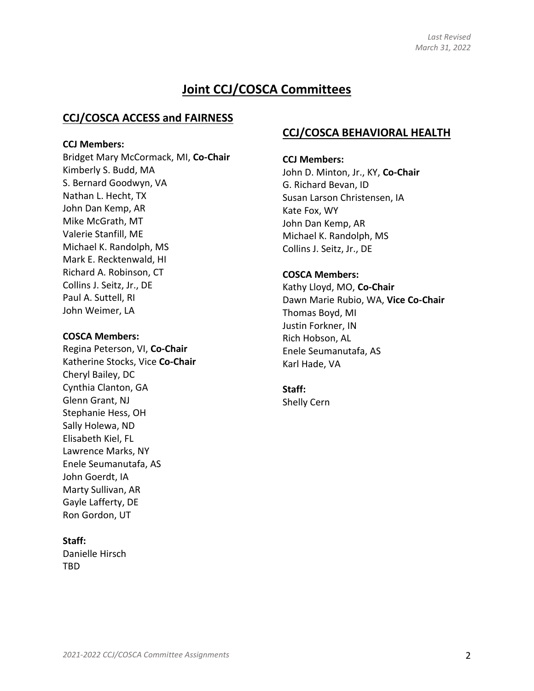# **Joint CCJ/COSCA Committees**

#### **CCJ/COSCA ACCESS and FAIRNESS**

#### **CCJ Members:**

Bridget Mary McCormack, MI, **Co-Chair** Kimberly S. Budd, MA S. Bernard Goodwyn, VA Nathan L. Hecht, TX John Dan Kemp, AR Mike McGrath, MT Valerie Stanfill, ME Michael K. Randolph, MS Mark E. Recktenwald, HI Richard A. Robinson, CT Collins J. Seitz, Jr., DE Paul A. Suttell, RI John Weimer, LA

#### **COSCA Members:**

Regina Peterson, VI, **Co-Chair** Katherine Stocks, Vice **Co-Chair** Cheryl Bailey, DC Cynthia Clanton, GA Glenn Grant, NJ Stephanie Hess, OH Sally Holewa, ND Elisabeth Kiel, FL Lawrence Marks, NY Enele Seumanutafa, AS John Goerdt, IA Marty Sullivan, AR Gayle Lafferty, DE Ron Gordon, UT

#### **Staff:**

Danielle Hirsch TBD

### **CCJ/COSCA BEHAVIORAL HEALTH**

#### **CCJ Members:**

John D. Minton, Jr., KY, **Co-Chair** G. Richard Bevan, ID Susan Larson Christensen, IA Kate Fox, WY John Dan Kemp, AR Michael K. Randolph, MS Collins J. Seitz, Jr., DE

#### **COSCA Members:**

Kathy Lloyd, MO, **Co-Chair** Dawn Marie Rubio, WA, **Vice Co-Chair** Thomas Boyd, MI Justin Forkner, IN Rich Hobson, AL Enele Seumanutafa, AS Karl Hade, VA

#### **Staff:**

Shelly Cern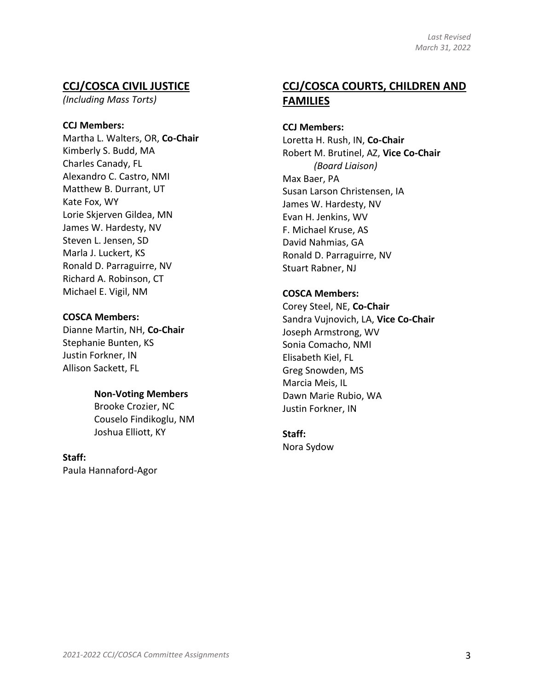### **CCJ/COSCA CIVIL JUSTICE**

*(Including Mass Torts)* 

#### **CCJ Members:**

Martha L. Walters, OR, **Co-Chair** Kimberly S. Budd, MA Charles Canady, FL Alexandro C. Castro, NMI Matthew B. Durrant, UT Kate Fox, WY Lorie Skjerven Gildea, MN James W. Hardesty, NV Steven L. Jensen, SD Marla J. Luckert, KS Ronald D. Parraguirre, NV Richard A. Robinson, CT Michael E. Vigil, NM

#### **COSCA Members:**

Dianne Martin, NH, **Co-Chair** Stephanie Bunten, KS Justin Forkner, IN Allison Sackett, FL

#### **Non-Voting Members**

Brooke Crozier, NC Couselo Findikoglu, NM Joshua Elliott, KY

**Staff:** 

Paula Hannaford-Agor

## **CCJ/COSCA COURTS, CHILDREN AND FAMILIES**

#### **CCJ Members:**

Loretta H. Rush, IN, **Co-Chair** Robert M. Brutinel, AZ, **Vice Co-Chair** *(Board Liaison)* Max Baer, PA Susan Larson Christensen, IA James W. Hardesty, NV Evan H. Jenkins, WV F. Michael Kruse, AS David Nahmias, GA Ronald D. Parraguirre, NV Stuart Rabner, NJ

#### **COSCA Members:**

Corey Steel, NE, **Co-Chair** Sandra Vujnovich, LA, **Vice Co-Chair** Joseph Armstrong, WV Sonia Comacho, NMI Elisabeth Kiel, FL Greg Snowden, MS Marcia Meis, IL Dawn Marie Rubio, WA Justin Forkner, IN

### **Staff:**

Nora Sydow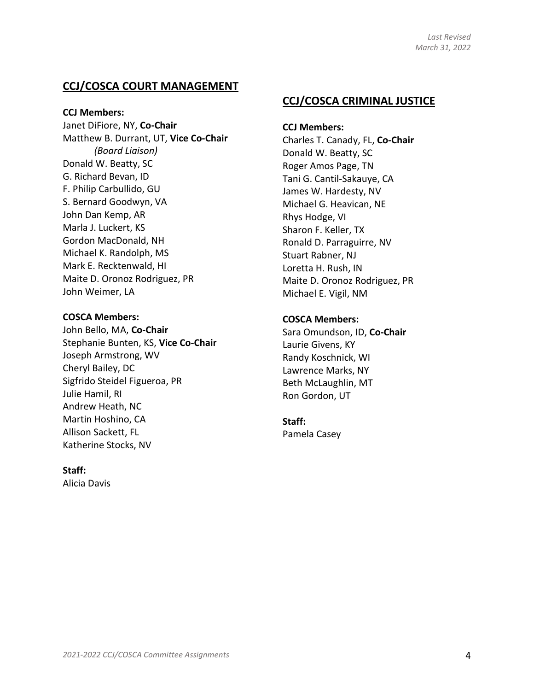### **CCJ/COSCA COURT MANAGEMENT**

**CCJ Members:**

Janet DiFiore, NY, **Co-Chair** Matthew B. Durrant, UT, **Vice Co-Chair** *(Board Liaison)* Donald W. Beatty, SC G. Richard Bevan, ID F. Philip Carbullido, GU S. Bernard Goodwyn, VA John Dan Kemp, AR Marla J. Luckert, KS Gordon MacDonald, NH Michael K. Randolph, MS Mark E. Recktenwald, HI Maite D. Oronoz Rodriguez, PR John Weimer, LA

#### **COSCA Members:**

John Bello, MA, **Co-Chair** Stephanie Bunten, KS, **Vice Co-Chair** Joseph Armstrong, WV Cheryl Bailey, DC Sigfrido Steidel Figueroa, PR Julie Hamil, RI Andrew Heath, NC Martin Hoshino, CA Allison Sackett, FL Katherine Stocks, NV

#### **Staff:**

Alicia Davis

### **CCJ/COSCA CRIMINAL JUSTICE**

**CCJ Members:** Charles T. Canady, FL, **Co-Chair** Donald W. Beatty, SC Roger Amos Page, TN Tani G. Cantil-Sakauye, CA James W. Hardesty, NV Michael G. Heavican, NE Rhys Hodge, VI Sharon F. Keller, TX Ronald D. Parraguirre, NV Stuart Rabner, NJ Loretta H. Rush, IN Maite D. Oronoz Rodriguez, PR Michael E. Vigil, NM

#### **COSCA Members:**

Sara Omundson, ID, **Co-Chair** Laurie Givens, KY Randy Koschnick, WI Lawrence Marks, NY Beth McLaughlin, MT Ron Gordon, UT

#### **Staff:**

Pamela Casey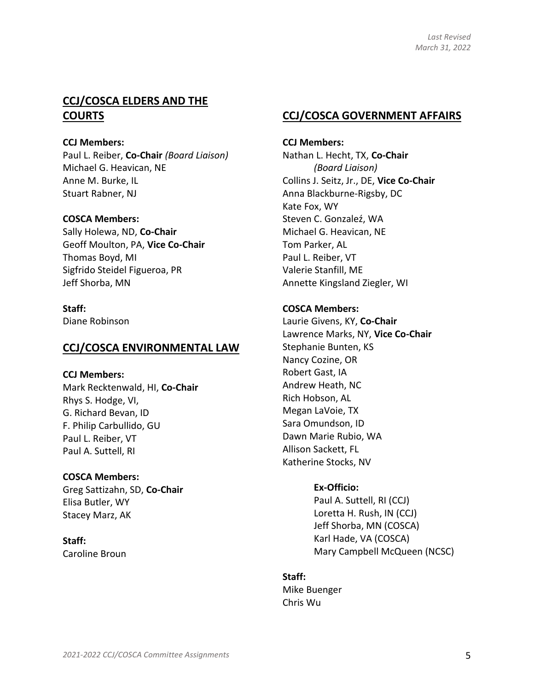### **CCJ/COSCA ELDERS AND THE COURTS**

#### **CCJ Members:**

Paul L. Reiber, **Co-Chair** *(Board Liaison)* Michael G. Heavican, NE Anne M. Burke, IL Stuart Rabner, NJ

#### **COSCA Members:**

Sally Holewa, ND, **Co-Chair** Geoff Moulton, PA, **Vice Co-Chair** Thomas Boyd, MI Sigfrido Steidel Figueroa, PR Jeff Shorba, MN

#### **Staff:**

Diane Robinson

#### **CCJ/COSCA ENVIRONMENTAL LAW**

#### **CCJ Members:**

Mark Recktenwald, HI, **Co-Chair** Rhys S. Hodge, VI, G. Richard Bevan, ID F. Philip Carbullido, GU Paul L. Reiber, VT Paul A. Suttell, RI

**COSCA Members:** Greg Sattizahn, SD, **Co-Chair** Elisa Butler, WY Stacey Marz, AK

**Staff:** Caroline Broun

### **CCJ/COSCA GOVERNMENT AFFAIRS**

**CCJ Members:** Nathan L. Hecht, TX, **Co-Chair**  *(Board Liaison)* Collins J. Seitz, Jr., DE, **Vice Co-Chair** Anna Blackburne-Rigsby, DC Kate Fox, WY Steven C. Gonzaleź, WA Michael G. Heavican, NE Tom Parker, AL Paul L. Reiber, VT Valerie Stanfill, ME Annette Kingsland Ziegler, WI

#### **COSCA Members:**

Laurie Givens, KY, **Co-Chair**  Lawrence Marks, NY, **Vice Co-Chair**  Stephanie Bunten, KS Nancy Cozine, OR Robert Gast, IA Andrew Heath, NC Rich Hobson, AL Megan LaVoie, TX Sara Omundson, ID Dawn Marie Rubio, WA Allison Sackett, FL Katherine Stocks, NV

#### **Ex-Officio:**

Paul A. Suttell, RI (CCJ) Loretta H. Rush, IN (CCJ) Jeff Shorba, MN (COSCA) Karl Hade, VA (COSCA) Mary Campbell McQueen (NCSC)

#### **Staff:**

Mike Buenger Chris Wu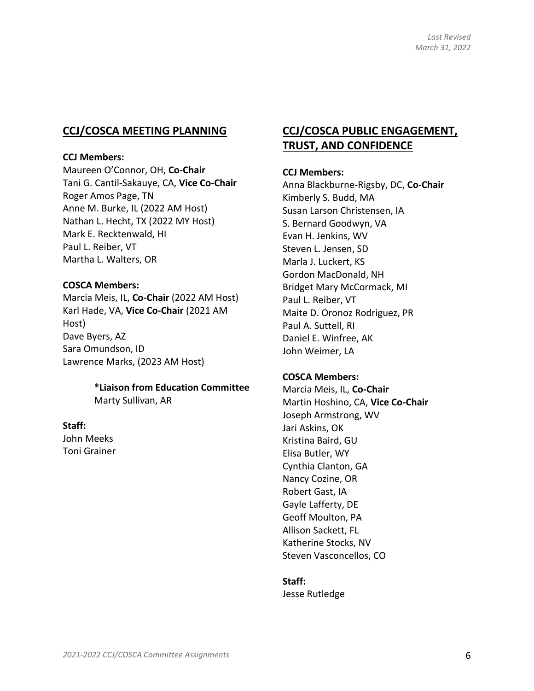### **CCJ/COSCA MEETING PLANNING**

#### **CCJ Members:**

Maureen O'Connor, OH, **Co-Chair** Tani G. Cantil-Sakauye, CA, **Vice Co-Chair** Roger Amos Page, TN Anne M. Burke, IL (2022 AM Host) Nathan L. Hecht, TX (2022 MY Host) Mark E. Recktenwald, HI Paul L. Reiber, VT Martha L. Walters, OR

#### **COSCA Members:**

Marcia Meis, IL, **Co-Chair** (2022 AM Host) Karl Hade, VA, **Vice Co-Chair** (2021 AM Host) Dave Byers, AZ Sara Omundson, ID Lawrence Marks, (2023 AM Host)

### **\*Liaison from Education Committee**

Marty Sullivan, AR

#### **Staff:**

John Meeks Toni Grainer

### **CCJ/COSCA PUBLIC ENGAGEMENT, TRUST, AND CONFIDENCE**

#### **CCJ Members:**

Anna Blackburne-Rigsby, DC, **Co-Chair** Kimberly S. Budd, MA Susan Larson Christensen, IA S. Bernard Goodwyn, VA Evan H. Jenkins, WV Steven L. Jensen, SD Marla J. Luckert, KS Gordon MacDonald, NH Bridget Mary McCormack, MI Paul L. Reiber, VT Maite D. Oronoz Rodriguez, PR Paul A. Suttell, RI Daniel E. Winfree, AK John Weimer, LA

#### **COSCA Members:**

Marcia Meis, IL, **Co-Chair** Martin Hoshino, CA, **Vice Co-Chair** Joseph Armstrong, WV Jari Askins, OK Kristina Baird, GU Elisa Butler, WY Cynthia Clanton, GA Nancy Cozine, OR Robert Gast, IA Gayle Lafferty, DE Geoff Moulton, PA Allison Sackett, FL Katherine Stocks, NV Steven Vasconcellos, CO

#### **Staff:**

Jesse Rutledge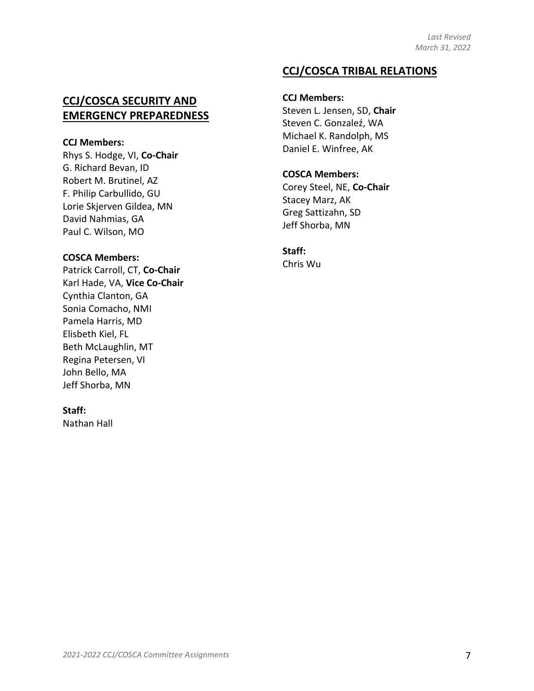### **CCJ/COSCA TRIBAL RELATIONS**

### **CCJ/COSCA SECURITY AND EMERGENCY PREPAREDNESS**

#### **CCJ Members:**

Rhys S. Hodge, VI, **Co-Chair** G. Richard Bevan, ID Robert M. Brutinel, AZ F. Philip Carbullido, GU Lorie Skjerven Gildea, MN David Nahmias, GA Paul C. Wilson, MO

#### **COSCA Members:**

Patrick Carroll, CT, **Co-Chair** Karl Hade, VA, **Vice Co-Chair** Cynthia Clanton, GA Sonia Comacho, NMI Pamela Harris, MD Elisbeth Kiel, FL Beth McLaughlin, MT Regina Petersen, VI John Bello, MA Jeff Shorba, MN

#### **Staff:**

Nathan Hall

**CCJ Members:** Steven L. Jensen, SD, **Chair** Steven C. Gonzaleź, WA Michael K. Randolph, MS Daniel E. Winfree, AK

# **COSCA Members:**

Corey Steel, NE, **Co-Chair** Stacey Marz, AK Greg Sattizahn, SD Jeff Shorba, MN

**Staff:**  Chris Wu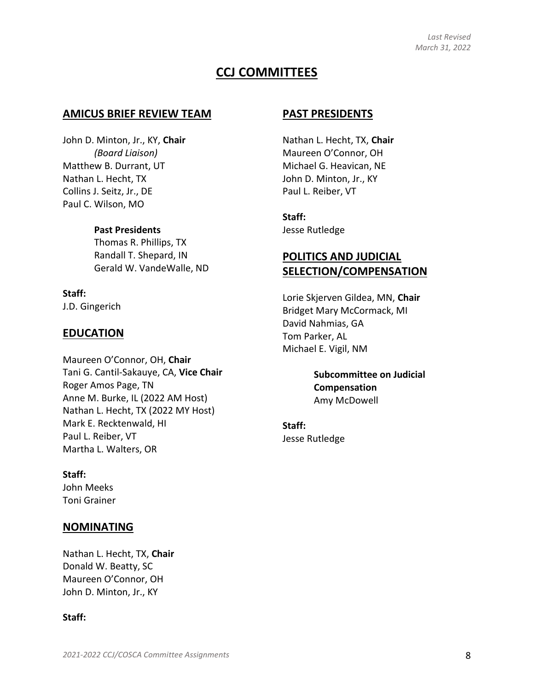### **CCJ COMMITTEES**

#### **AMICUS BRIEF REVIEW TEAM**

John D. Minton, Jr., KY, **Chair** *(Board Liaison)* Matthew B. Durrant, UT Nathan L. Hecht, TX Collins J. Seitz, Jr., DE Paul C. Wilson, MO

#### **Past Presidents**

Thomas R. Phillips, TX Randall T. Shepard, IN Gerald W. VandeWalle, ND

# **Staff:**

J.D. Gingerich

#### **EDUCATION**

Maureen O'Connor, OH, **Chair** Tani G. Cantil-Sakauye, CA, **Vice Chair** Roger Amos Page, TN Anne M. Burke, IL (2022 AM Host) Nathan L. Hecht, TX (2022 MY Host) Mark E. Recktenwald, HI Paul L. Reiber, VT Martha L. Walters, OR

**Staff:**  John Meeks Toni Grainer

#### **NOMINATING**

Nathan L. Hecht, TX, **Chair** Donald W. Beatty, SC Maureen O'Connor, OH John D. Minton, Jr., KY

#### **Staff:**

#### **PAST PRESIDENTS**

Nathan L. Hecht, TX, **Chair** Maureen O'Connor, OH Michael G. Heavican, NE John D. Minton, Jr., KY Paul L. Reiber, VT

**Staff:**  Jesse Rutledge

### **POLITICS AND JUDICIAL SELECTION/COMPENSATION**

Lorie Skjerven Gildea, MN, **Chair** Bridget Mary McCormack, MI David Nahmias, GA Tom Parker, AL Michael E. Vigil, NM

> **Subcommittee on Judicial Compensation** Amy McDowell

**Staff:**  Jesse Rutledge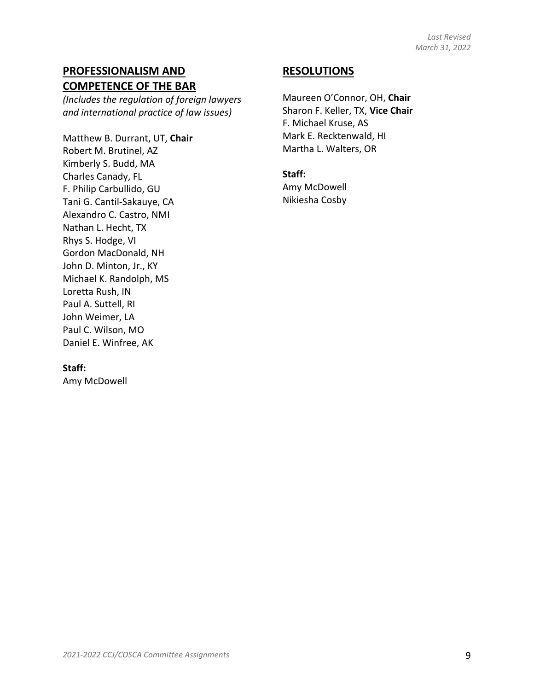### **PROFESSIONALISM AND COMPETENCE OF THE BAR**

*(Includes the regulation of foreign lawyers and international practice of law issues)* 

Matthew B. Durrant, UT, **Chair** Robert M. Brutinel, AZ Kimberly S. Budd, MA Charles Canady, FL F. Philip Carbullido, GU Tani G. Cantil-Sakauye, CA Alexandro C. Castro, NMI Nathan L. Hecht, TX Rhys S. Hodge, VI Gordon MacDonald, NH John D. Minton, Jr., KY Michael K. Randolph, MS Loretta Rush, IN Paul A. Suttell, RI John Weimer, LA Paul C. Wilson, MO Daniel E. Winfree, AK

### **RESOLUTIONS**

Maureen O'Connor, OH, **Chair** Sharon F. Keller, TX, **Vice Chair** F. Michael Kruse, AS Mark E. Recktenwald, HI Martha L. Walters, OR

**Staff:** 

Amy McDowell Nikiesha Cosby

#### **Staff:**

Amy McDowell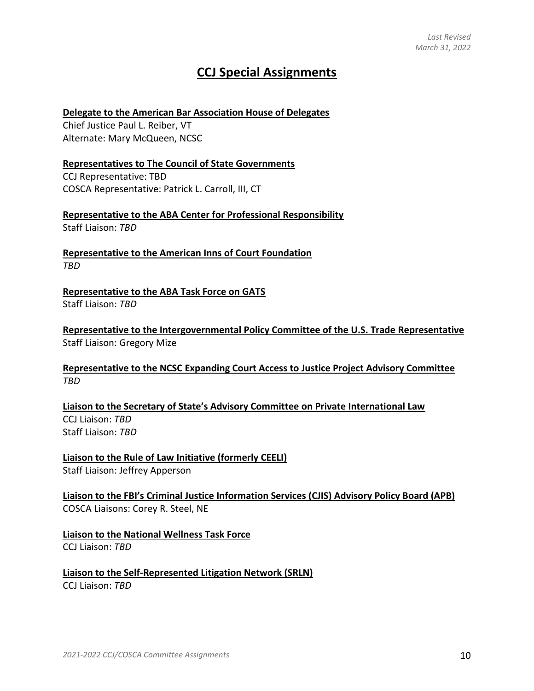# **CCJ Special Assignments**

#### **Delegate to the American Bar Association House of Delegates**

Chief Justice Paul L. Reiber, VT Alternate: Mary McQueen, NCSC

#### **Representatives to The Council of State Governments**

CCJ Representative: TBD COSCA Representative: Patrick L. Carroll, III, CT

**Representative to the ABA Center for Professional Responsibility** Staff Liaison: *TBD*

**Representative to the American Inns of Court Foundation** *TBD*

**Representative to the ABA Task Force on GATS** Staff Liaison: *TBD*

**Representative to the Intergovernmental Policy Committee of the U.S. Trade Representative** Staff Liaison: Gregory Mize

#### **Representative to the NCSC Expanding Court Access to Justice Project Advisory Committee** *TBD*

**Liaison to the Secretary of State's Advisory Committee on Private International Law** CCJ Liaison: *TBD* Staff Liaison: *TBD*

**Liaison to the Rule of Law Initiative (formerly CEELI)** Staff Liaison: Jeffrey Apperson

**Liaison to the FBI's Criminal Justice Information Services (CJIS) Advisory Policy Board (APB)** COSCA Liaisons: Corey R. Steel, NE

**Liaison to the National Wellness Task Force** CCJ Liaison: *TBD*

**Liaison to the Self-Represented Litigation Network (SRLN)** CCJ Liaison: *TBD*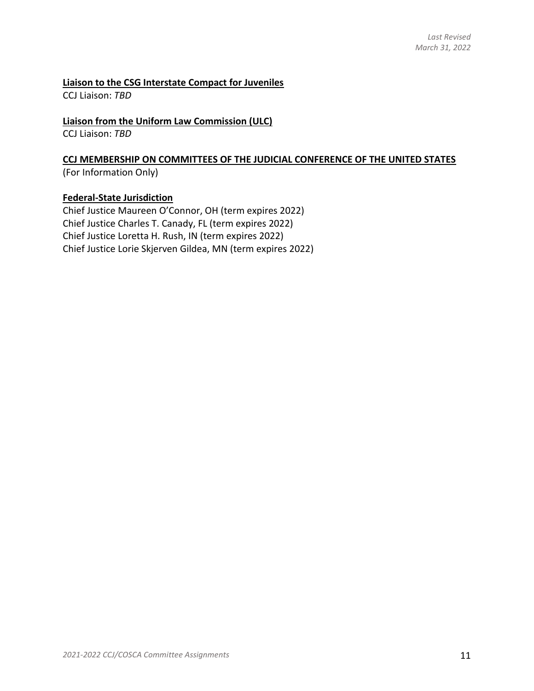#### **Liaison to the CSG Interstate Compact for Juveniles**

CCJ Liaison: *TBD*

#### **Liaison from the Uniform Law Commission (ULC)**

CCJ Liaison: *TBD*

#### **CCJ MEMBERSHIP ON COMMITTEES OF THE JUDICIAL CONFERENCE OF THE UNITED STATES** (For Information Only)

### **Federal-State Jurisdiction**

Chief Justice Maureen O'Connor, OH (term expires 2022) Chief Justice Charles T. Canady, FL (term expires 2022) Chief Justice Loretta H. Rush, IN (term expires 2022) Chief Justice Lorie Skjerven Gildea, MN (term expires 2022)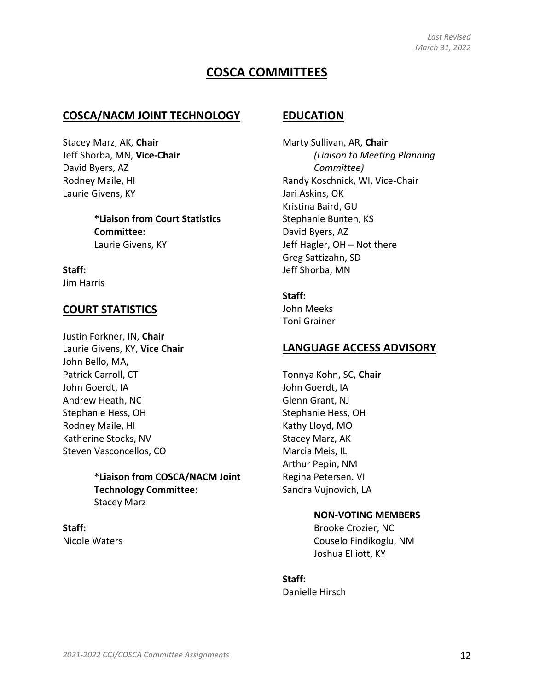## **COSCA COMMITTEES**

#### **COSCA/NACM JOINT TECHNOLOGY**

Stacey Marz, AK, **Chair** Jeff Shorba, MN, **Vice-Chair** David Byers, AZ Rodney Maile, HI Laurie Givens, KY

> **\*Liaison from Court Statistics Committee:** Laurie Givens, KY

**Staff:** Jim Harris

### **COURT STATISTICS**

Justin Forkner, IN, **Chair** Laurie Givens, KY, **Vice Chair** John Bello, MA, Patrick Carroll, CT John Goerdt, IA Andrew Heath, NC Stephanie Hess, OH Rodney Maile, HI Katherine Stocks, NV Steven Vasconcellos, CO

#### **\*Liaison from COSCA/NACM Joint Technology Committee:**  Stacey Marz

**Staff:** Nicole Waters

#### **EDUCATION**

Marty Sullivan, AR, **Chair** *(Liaison to Meeting Planning Committee)* Randy Koschnick, WI, Vice-Chair Jari Askins, OK Kristina Baird, GU Stephanie Bunten, KS David Byers, AZ Jeff Hagler, OH – Not there Greg Sattizahn, SD Jeff Shorba, MN

#### **Staff:**

John Meeks Toni Grainer

### **LANGUAGE ACCESS ADVISORY**

Tonnya Kohn, SC, **Chair** John Goerdt, IA Glenn Grant, NJ Stephanie Hess, OH Kathy Lloyd, MO Stacey Marz, AK Marcia Meis, IL Arthur Pepin, NM Regina Petersen. VI Sandra Vujnovich, LA

#### **NON-VOTING MEMBERS**

Brooke Crozier, NC Couselo Findikoglu, NM Joshua Elliott, KY

### **Staff:**

Danielle Hirsch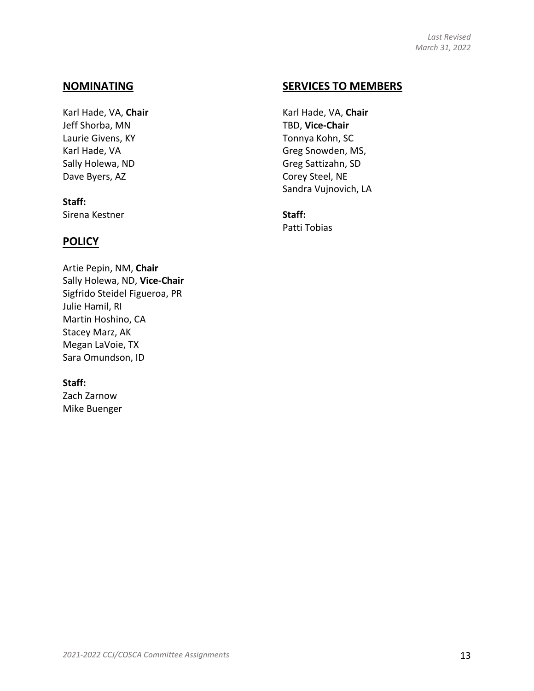### **NOMINATING**

Karl Hade, VA, **Chair** Jeff Shorba, MN Laurie Givens, KY Karl Hade, VA Sally Holewa, ND Dave Byers, AZ

### **Staff:** Sirena Kestner

### **POLICY**

Artie Pepin, NM, **Chair** Sally Holewa, ND, **Vice-Chair** Sigfrido Steidel Figueroa, PR Julie Hamil, RI Martin Hoshino, CA Stacey Marz, AK Megan LaVoie, TX Sara Omundson, ID

#### **Staff:**

Zach Zarnow Mike Buenger

### **SERVICES TO MEMBERS**

Karl Hade, VA, **Chair** TBD, **Vice-Chair** Tonnya Kohn, SC Greg Snowden, MS, Greg Sattizahn, SD Corey Steel, NE Sandra Vujnovich, LA

**Staff:** Patti Tobias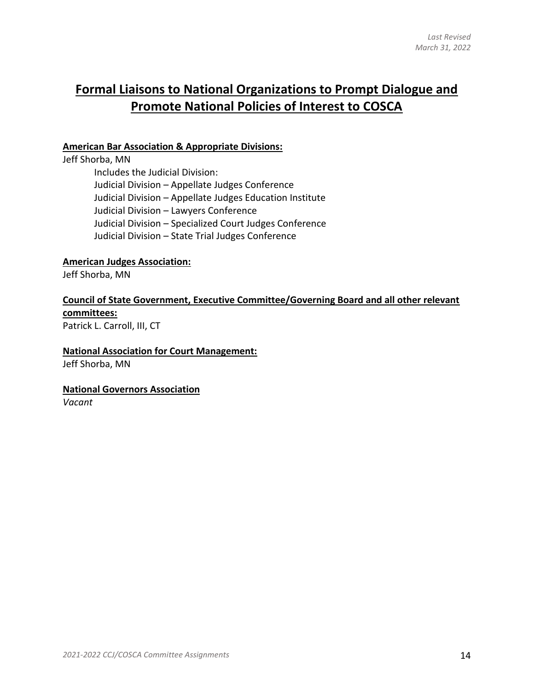# **Formal Liaisons to National Organizations to Prompt Dialogue and Promote National Policies of Interest to COSCA**

#### **American Bar Association & Appropriate Divisions:**

Jeff Shorba, MN Includes the Judicial Division: Judicial Division – Appellate Judges Conference Judicial Division – Appellate Judges Education Institute Judicial Division – Lawyers Conference Judicial Division – Specialized Court Judges Conference Judicial Division – State Trial Judges Conference

#### **American Judges Association:**

Jeff Shorba, MN

#### **Council of State Government, Executive Committee/Governing Board and all other relevant committees:**

Patrick L. Carroll, III, CT

#### **National Association for Court Management:**

Jeff Shorba, MN

#### **National Governors Association**

*Vacant*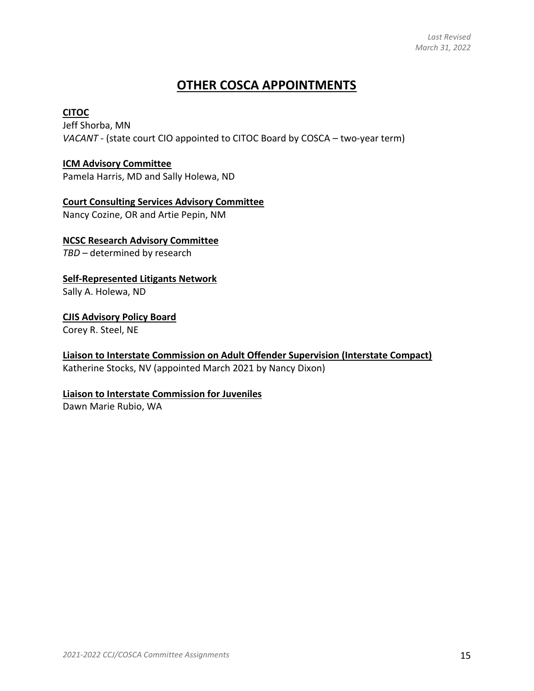# **OTHER COSCA APPOINTMENTS**

#### **CITOC**

Jeff Shorba, MN *VACANT* - (state court CIO appointed to CITOC Board by COSCA – two-year term)

#### **ICM Advisory Committee**

Pamela Harris, MD and Sally Holewa, ND

#### **Court Consulting Services Advisory Committee**

Nancy Cozine, OR and Artie Pepin, NM

#### **NCSC Research Advisory Committee**

*TBD* – determined by research

#### **Self-Represented Litigants Network**

Sally A. Holewa, ND

#### **CJIS Advisory Policy Board**

Corey R. Steel, NE

#### **Liaison to Interstate Commission on Adult Offender Supervision (Interstate Compact)**

Katherine Stocks, NV (appointed March 2021 by Nancy Dixon)

#### **Liaison to Interstate Commission for Juveniles**

Dawn Marie Rubio, WA